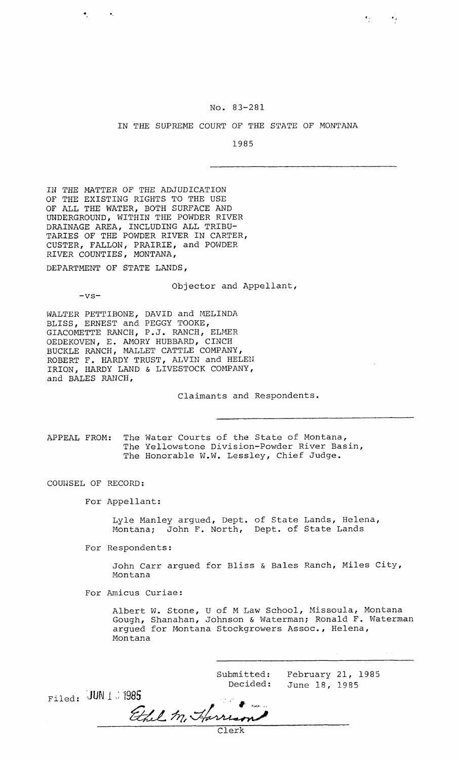## No. 83-281

 $\epsilon_{\rm F}$  and  $\epsilon_{\rm F}$ 

## IN THE SUPREME COURT OF THE STATE OF MONTANA

1985

IN THE MATTER OF THE ADJUDICATION OF THE EXISTING RIGHTS TO THE USE OF ALL THE WATER, BOTH SURFACE AND UNDERGROUND, WITHIN THE POWDER RIVER DRAINAGE AREA, INCLUDING ALL TRIBU-TARIES OF THE POWDER RIVER IN CARTER, CUSTER, FALLON, PRAIRIE, and POWDER RIVER COUNTIES, MONTANA,

DEPARTMENT OF STATE LANDS,

Objector and Appellant,

 $-vs-$ 

 $\bullet_1$  , and  $\bullet_2$ 

WALTER PETTIBONE, DAVID and MELINDA BLISS, ERNEST and PEGGY TOOKE, GIACOMETTE RANCH, P.J. RANCH, ELMER OEDEKOVEN, E. MIORY HUBBARD, CINCH BUCKLE RANCH, MALLET CATTLE COMPANY, ROBERT F. HARDY TRUST, ALVIN and HELEN IRION, HARDY LAND & LIVESTOCK COMPANY, and BALES RANCH,

Claimants and Respondents.

APPEAL FROM: The Water Courts of the State of Montana, The Yellowstone Division-Powder River Basin, The Honorable W.W. Lessley, Chief Judge.

COUlJSEL OF RECORD:

For Appellant:

Lyle Manley argued, Dept. of State Lands, Iielena, Montana; John F. North, Dept. of State Lands

For Respondents:

John Carr argued for Bliss & Bales Ranch, Miles City, Montana

For Amicus Curiae:

Albert W. Stone, U of M Law School, Missoula, Montana Gough, Shanahan, Johnson & Waterman; Ronald F. Waterman argued for Montana Stockgrowers Assoc., Helena, Montana

Submitted: February 21, 1985 Decided: June 18, 1985

Filed:  $JUN 1$ : 1985<br>Ethel M. Harrison Clerk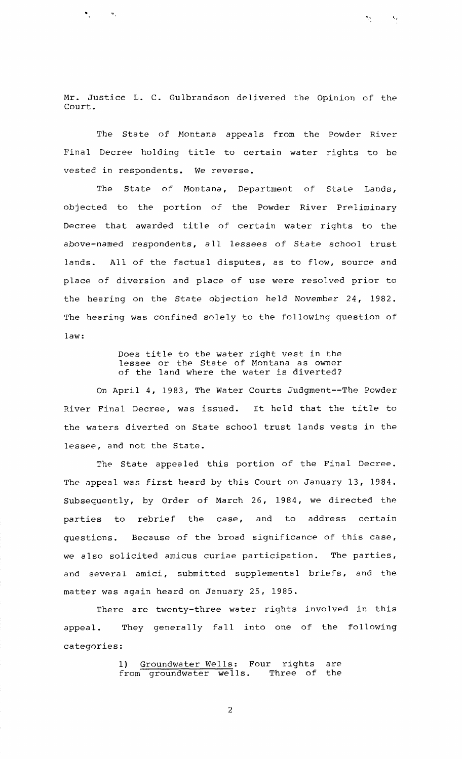Mr. Justice L. C. Gulbrandson delivered the Opinion of the Court.

 $\zeta_t$ 

 $\mathbf{S}_{\mathbf{A}}$  .

 $\mathbf{w}_1$  ,  $\mathbf{w}_2$  ,  $\mathbf{w}_3$ 

The State of Montana appeals from the Powder River Final Decree holding title to certain water rights to be vested in respondents. We reverse.

The State of Montana, Department of State Lands, objected to the portion of the Powder River Preliminary Decree that awarded title of certain water rights to the above-named respondents, all lessees of State school trust lands. All of the factual disputes, as to flow, source and place of diversion and place of use were resolved prior to the hearing on the State objection held November 24, 1982. The hearing was confined solely to the following question of law:

> Does title to the water right vest in the lessee or the State of Montana as owner of the land where the water is diverted?

On April 4, 1983, The Water Courts Judgment--The Powder River Final Decree, was issued. It held that the title to the waters diverted on State school trust lands vests in the lessee, and not the State.

The State appealed this portion of the Final Decree. The appeal was first heard by this Court on January 13, 1984. Subsequently, by Order of March 26, 1984, we directed the parties to rebrief the case, and to address certain questions. Because of the broad significance of this case, we also solicited amicus curiae participation. The parties, and several amici, submitted supplemental briefs, and the matter was again heard on January 25, 1985.

There are twenty-three water rights involved in this appeal. They generally fall into one of the following categories:

> 1) Groundwater\_Wells: Four rights are from groundwater wells. Three of the

> > $\overline{2}$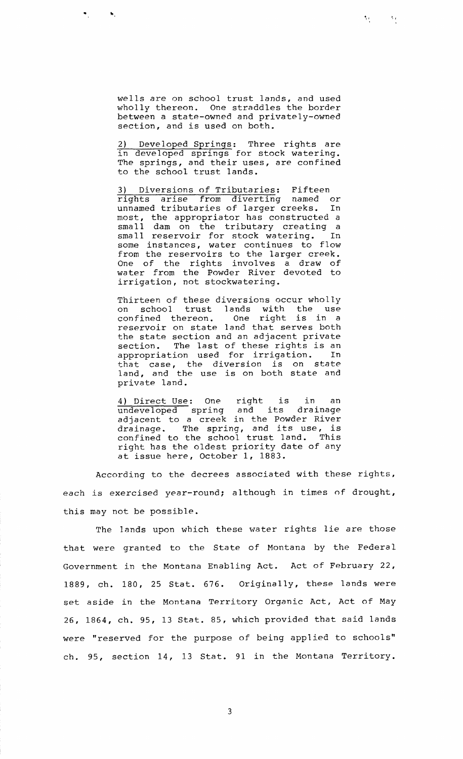wells are on school trust lands, and used wholly thereon. One straddles the border between a state-owned and privately-owned section, and is used on both.

 $\mathcal{M}_{\mathcal{A}}$ 

ैर

2) Developed Springs: Three rights are in developed springs for stock watering. The springs, and their uses, are confined to the school trust lands.

3) Diversions of Tributaries: Fifteen rights arise from diverting named or unnamed tributaries of larger creeks. In most, the appropriator has constructed a small dam on the tributary creating a small reservoir for stock watering. In some instances, water continues to flow from the reservoirs to the larger creek. One of the rights involves a draw of water from the Powder River devoted to irrigation, not stockwatering.

Thirteen of these diversions occur wholly on school trust lands with the use confined thereon. One right is in a reservoir on state land that serves both the state section and an adjacent private section. The last of these rights is an appropriation used for irrigation. In that case, the diversion is on state land, and the use is on both state and private land.

4) Direct Use: One right is in an undeveloped spring and its drainage adjacent to a creek in the Powder River drainage. The spring, and its use, is confined to the school trust land. This right has the oldest priority date of any at issue here, October 1, 1883.

According to the decrees associated with these rights, each is exercised year-round; although in times of drought, this may not be possible.

The lands upon which these water rights lie are those that were granted to the State of Montana by the Federal Government in the Montana Enabling Act. Act of February 22, 1889, ch. 180, 25 Stat. 676. Originally, these lands were set aside in the Montana Territory Organic Act, Act of May 26, 1864, ch. 95, 13 Stat. 85, which provided that said lands were "reserved for the purpose of being applied to schools" ch. 95, section 14, 13 Stat. 91 in the Montana Territory.

 $\overline{3}$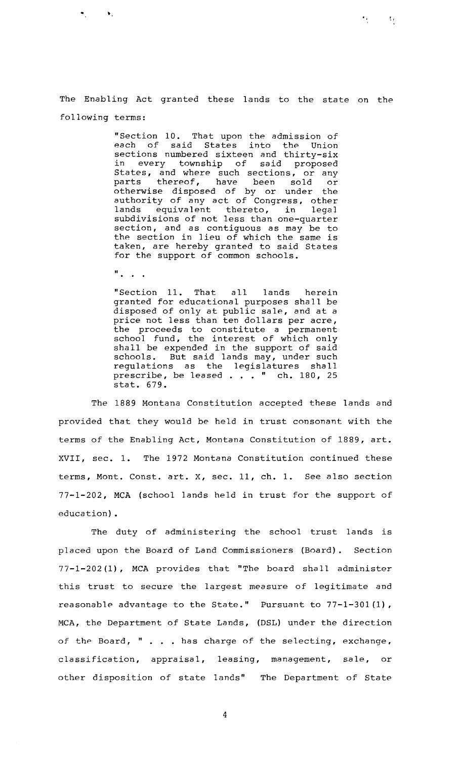$\mathcal{H}^{\pm}$ 

 $\Omega$ 

"Section 10. That upon the admission of<br>each of said States into the Union said States into the Union sections numbered sixteen and thirty-six<br>in every township of said proposed every township States, and where such sections, or any parts thereof, have been sold or otherwise disposed of by or under the authority of any act of Congress, other<br>lands equivalent thereto, in legal equivalent subdivisions of not less than one-quarter section, and as contiguous as may be to the section in lieu of which the same is taken, are hereby granted to said States for the support of common schools.

 $\mathbf{u}$  .  $\mathbf{v}$  .

 $\mathbf{v}_1$  and  $\mathbf{v}_2$ 

"Section 11. That all lands herein granted for educational purposes shall be disposed of only at public sale, and at a price not less than ten dollars per acre, the proceeds to constitute a permanent school fund, the interest of which only shall be expended in the support of said schools. But said lands may, under such regulations as the legislatures shall prescribe, be leased . . . " ch. 180, 25 stat. 679.

The 1889 Montana Constitution accepted these lands and provided that they would be held in trust consonant with the terms of the Enabling Act, Montana Constitution of 1889, art. XVII, sec. 1. The 1972 Montana Constitution continued these terms, Mont. Const. art. **X,** sec. 11, ch. 1. See also section 77-1-202, MCA (school lands held in trust for the support of education) .

The duty of administering the school trust lands is placed upon the Board of Land Commissioners (Board). Section 77-1-202(l), MCA provides that "The board shall administer this trust to secure the largest measure of legitimate and reasonable advantage to the State." Pursuant to 77-1-301(1), MCA, the Department of State Lands, (DSL) under the direction of the Board, " . . . has charge of the selecting, exchange, classification, appraisal, leasing, management, sale, or other disposition of state lands" The Department of State

 $\overline{4}$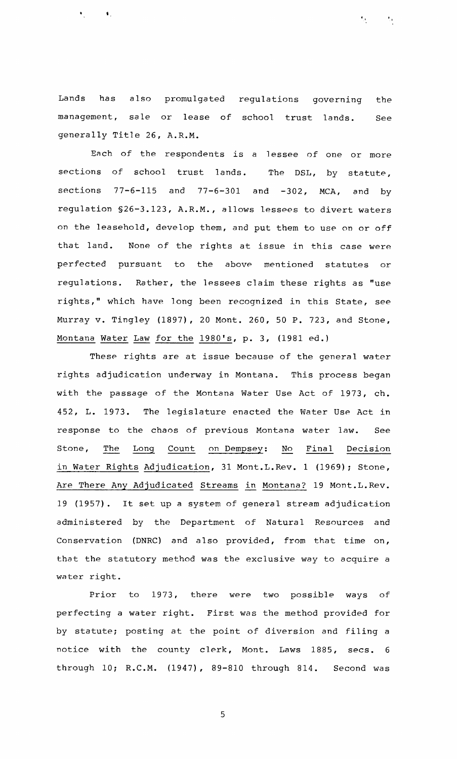Lands has also promulgated regulations governing the management, sale or lease of school trust lands. See generally Title 26, A.R.M.

 $\sim 10$ 

Each of the respondents is a lessee of one or more sections of school trust lands. The DSL, by statute, sections  $77-6-115$  and  $77-6-301$  and  $-302$ , MCA, and by regulation S26-3.123, A.R.M., allows lessees to divert waters on the leasehold, develop them, and put them to use on or off that land. None of the rights at issue in this case were perfected pursuant to the above mentioned statutes or regulations. Rather, the lessees claim these rights as "use rights," which have long been recognized in this State, see Murray v. Tingley (1897), 20 Mont. 260, 50 P. 723, and Stone, Montana Water Law for the 1980's, p. 3, (1981 ed.)

These rights are at issue because of the general water rights adjudication underway in Montana. This process began with the passage of the Montana Water Use Act of 1973, ch. 452, L. 1973. The legislature enacted the Water Use Act in<br>response to the chaos of previous Montana water law. See<br>Stone, <u>The Long Count on Dempsey: No Final Decision</u> response to the chaos of previous Montana water law. See in Water Rights Adjudication, 31 Mont.L.Rev. 1 (1969); Stone, Are There Any Adjudicated Streams in Montana? 19 Mont.L.Rev. 19 (1957). It set up a system of general stream adjudication administered by the Department of Natural Resources and Conservation (DNRC) and also provided, from that time on, that the statutory method was the exclusive way to acquire a water right.

Prior to 1973, there were two possible ways of perfecting a water right. First was the method provided for by statute; posting at the point of diversion and filing a notice with the county clerk, Mont. Laws 1885, secs. 6 through 10; R.C.M. (1947), 89-810 through 814. Second was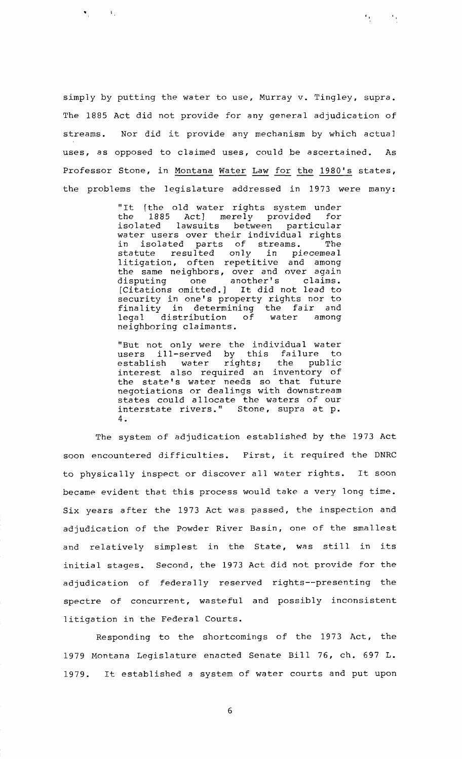simply by putting the water to use, Murray v. Tingley, supra. The 1885 Act did not provide for any general adjudication of streams. Nor did it provide any mechanism by which actual uses, as opposed to claimed uses, could be ascertained. As Professor Stone, in Montana Water Law for the 1980's states, the problems the legislature addressed in 1973 were many:

 $\mathbf{r}_{\mathrm{in}}$  .

 $\bullet$  -  $\bullet$  -  $\bullet$  -  $\bullet$  -  $\bullet$  -  $\bullet$  -

"It [the old water rights system under<br>the 1885 Act] merely provided for the 1885 Act] merely provided for particular water users over their individual rights in isolated parts of streams. The<br>statute resulted only in piecemeal resulted litigation, often repetitive and among the same neighbors, over and over again<br>disputing one another's claims. another's [Citations omitted.] It did not lead to security in one's property rights nor to finality in determining the fair and<br>legal distribution of water among legal distribution of neighboring claimants.

"But not only were the individual water users ill-served by this failure to establish water rights; the public interest also required an inventory of the state's water needs so that future negotiations or dealings with downstream states could allocate the waters of our interstate rivers." Stone, supra at p. 4.

The system of adjudication established by the 1973 Act soon encountered difficulties. First, it required the DNRC to physically inspect or discover all water rights. It soon became evident that this process would take a very long time. Six years after the 1973 Act was passed, the inspection and adjudication of the Powder River Basin, one of the smallest and relatively simplest in the State, was still in its initial stages. Second, the 1973 Act did not provide for the adjudication of federally reserved rights--presenting the spectre of concurrent, wasteful and possibly inconsistent litigation in the Federal Courts.

Responding to the shortcomings of the 1973 Act, the 1979 Montana Legislature enacted Senate Bill 76, ch. 697 L. 1979. It established a system of water courts and put upon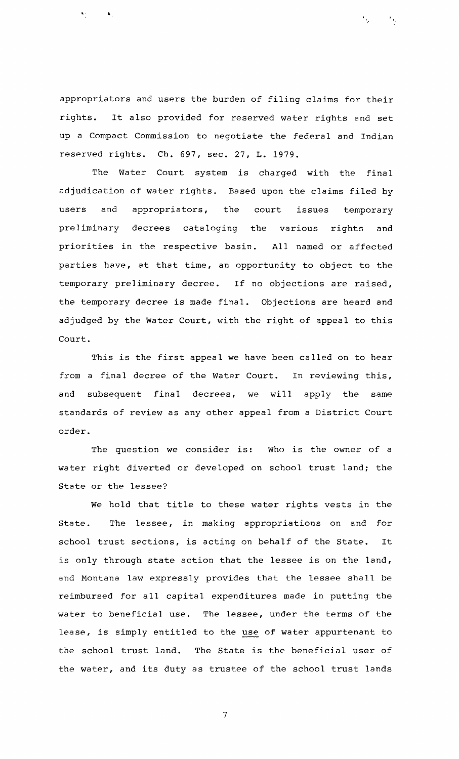appropriators and users the burden of filing claims for their rights. It also provided for reserved water rights and set up a Compact Commission to negotiate the federal and Indian reserved rights. Ch. 697, sec. 27, **I,.** 1979.

 $\mathcal{L}_{\rm{max}}$ 

 $\mathcal{O}(\mathcal{F}_{\mathcal{F}_{\mathcal{E}}}$ 

 $\mathbf{A}$ 

The Water Court system is charged with the final adjudication of water rights. Rased upon the claims filed by users and appropriators, the court issues temporary preliminary decrees cataloging the various rights and priorities in the respective basin. All named or affected parties have, at that time, an opportunity to object to the temporary preliminary decree. If no objections are raised, the temporary decree is made final. Objections are heard and adjudged by the Water Court, with the right of appeal to this Court.

This is the first appeal we have been called on to hear from a final decree of the Water Court. In reviewing this, and subsequent final decrees, we will apply the same standards of review as any other appeal from a District Court order.

The question we consider is: Who is the owner of a water right diverted or developed on school trust land; the State or the lessee?

We hold that title to these water rights vests in the State. The lessee, in making appropriations on and for school trust sections, is acting on behalf of the State. It is only through state action that the lessee is on the land, and Montana law expressly provides that the lessee shall be reimbursed for all capital expenditures made in putting the water to beneficial use. **The** lessee, under the terms of the reimbursed for all capital expenditures made in putting the<br>water to beneficial use. The lessee, under the terms of the<br>lease, is simply entitled to the <u>use</u> of water appurtenant to the school trust land. The State is the beneficial user of the water, and its duty as trustee of the school trust lands

 $\overline{7}$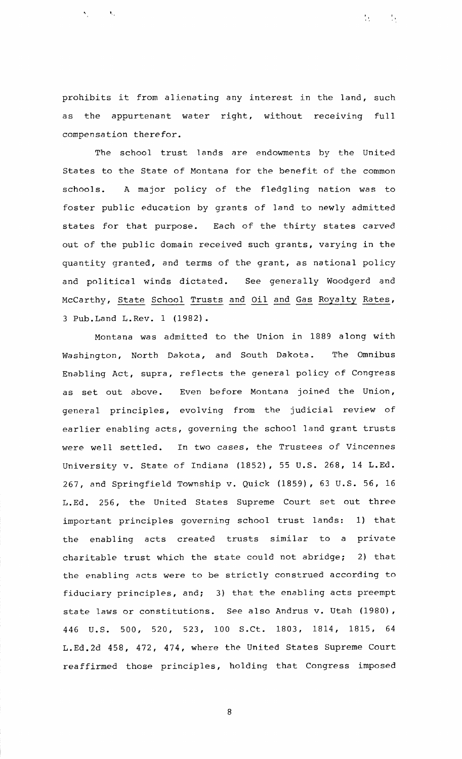prohibits it from alienating any interest in the land, such as the appurtenant water right, without receiving full compensation therefor.

 $\mathcal{F}_{\mathcal{F}}$ 

 $\frac{1}{2}$ r

 $\sim 100$ 

The school trust lands are endowments by the United States to the State of Montana for the benefit of the common schools. **A** major policy of the fledgling nation was to foster public education by grants of land to newly admitted states for that purpose. Each of the thirty states carved out of the public domain received such grants, varying in the quantity granted, and terms of the grant, as national policy and political winds dictated. See generally Woodgerd and McCarthy, State School Trusts and Oil and Gas Royalty Rates, **<sup>3</sup>**Pub.Land L.Rev. 1 (1982).

Montana was admitted to the Union in 1889 along with Washington, North Dakota, and South Dakota. The Omnibus Enabling Act, supra, reflects the general policy of Congress as set out above. Even before Montana joined the Union, genera1 principles, evolving from the judicial review of earlier enabling acts, governing the school land grant trusts were well settled. In two cases, the Trustees of Vincennes University v. State of Indiana (1852), 55 U.S. 268, 14 L.Ed. 267, and Springfield Township v. Quick (1859), 63 U.S. 56, 16 L.Ed. 256, the United States Supreme Court set out three important principles governing school trust lands: 1) that the enabling acts created trusts similar to a private charitable trust which the state could not abridge; 2) that the enabling acts were to be strictly construed according to fiduciary principles, and; 3) that the enabling acts preempt state laws or constitutions. See also Andrus v. Utah (1980), 446 U.S. 500, 520, 523, 100 S.Ct. 1803, 1814, 1815, 64 L.Ed.2d 458, 472, 474, where the United States Supreme Court reaffirmed those principles, holding that Congress imposed

 $\,8\,$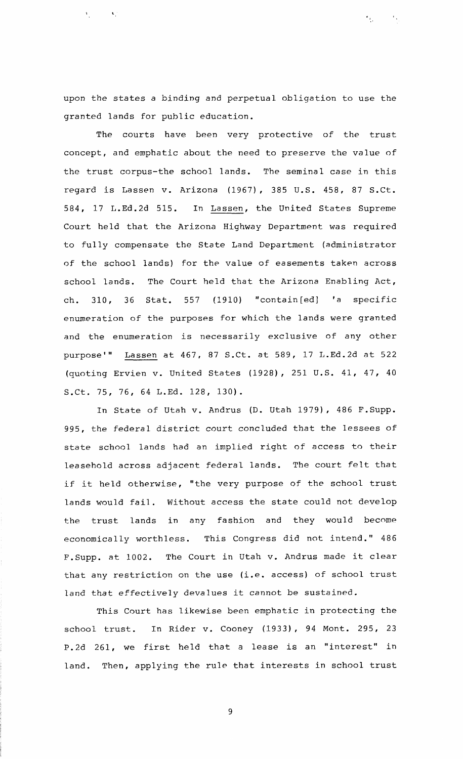upon the states a binding and perpetual obligation to use the granted lands for public education.

 $\sim$   $\sim$ 

The courts have been very protective of the trust concept, and emphatic about the need to preserve the value of the trust corpus-the school lands. The seminal case in this regard is Lassen v. Arizona (1967), 385 U.S. 458, 87 S.Ct. 584, 17 L.Ed.2d 515. In Lassen, the United States Supreme Court held that the Arizona Highway Department was required to fully compensate the State Land Department (administrator of the school lands) for the value of easements taken across school lands. The Court held that the Arizona Enabling Act, ch. 310, 36 Stat. 557 (1910) "contain[ed] 'a specific enumeration of the purposes for which the lands were granted and the enumeration is necessarily exclusive of any other purpose'" Lassen at 467, 87 S.Ct. at 589, 17 L.Ed.2d at 522 (quoting Ervien v. United States (1928), 251 U.S. 41, 47, 40 S.Ct. 75, 76, 64 L.Ed. 128, 130).

In State of Utah v. Andrus (D. Utah 1979), 486 F.Supp. 995, the federal district court concluded that the lessees of state school lands had an implied right of access to their leasehold across adjacent federal lands. The court felt that if it held otherwise, "the very purpose of the school trust lands would fail. Without access the state could not develop the trust lands in any fashion and they would become economically worthless. This Congress did not intend." 486 F.Supp. at 1002. The Court in Utah v. Andrus made it clear that any restriction on the use (i.e. access) of school trust land that effectively devalues it cannot be sustained.

This Court has likewise been emphatic in protecting the school trust. In Rider v. Cooney (1933), 94 Mont. 295, 23 P.2d 261, we first held that a lease is an "interest" in land. Then, applying the rule that interests in school trust

 $\overline{9}$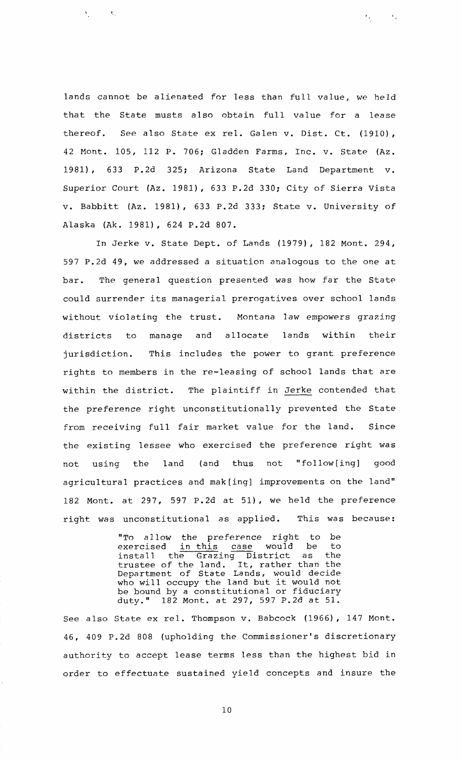lands cannot be alienated for less than full value, we held that the State musts also obtain full value for a lease thereof. See also State ex rel. Galen v. Dist. Ct. (1910), 42 Mont. 105, 112 P. 706; Gladden Farms, Inc. v. State (Az. 1981), 633 P.2d 325; Arizona State Land Department v. Superior Court (Az. 1981), 633 P.2d 330; City of Sierra Vista v. Babbitt (Az. 1981), 633 P.2d 333; State v. University of

 $\mathcal{M}_{\rm{max}}$ 

 $\mathcal{N}_\chi$ 

Alaska (Ak. 1981), 624 P.2d 807.

 $\sim 10^4$ 

 $\mathbf{A}^{(1)}$  and

In Jerke v. State Dept. of Lands (1979), 182 Mont. 294, 597 P.2d 49, we addressed a situation analogous to the one at bar. The general question presented was how far the State could surrender its managerial prerogatives over school lands without violating the trust. Montana law empowers grazing districts to manage and allocate lands within their jurisdiction. This includes the power to grant preference rights to members in the re-leasing of school lands that are within the district. The plaintiff in Jerke contended that the preference right unconstitutionally prevented the State from receiving full fair market value for the land. Since the existing lessee who exercised the preference right was not using the land (and thus not "follow[ing] good agricultural practices and mak[ing] improvements on the land" 182 Mont. at 297, 597 P.2d at 51), we held the preference right was unconstitutional as applied. This was because:

> "To allow the preference right to be exercised <u>in-this</u> case would be to install the Grazing District as the trustee of the land. It, rather than the Department of State Lands, would decide who will occupy the land but it would not be bound by a constitutional or fiduciary duty." 182 Mont. at 297, 597 P.2d at 51.

See also State ex rel. Thompson v. Babcock (1966), 147 Mont. 46, 409 P.2d 808 (upholding the Commissioner's discretionary authority to accept lease terms less than the highest bid in order to effectuate sustained yield concepts and insure the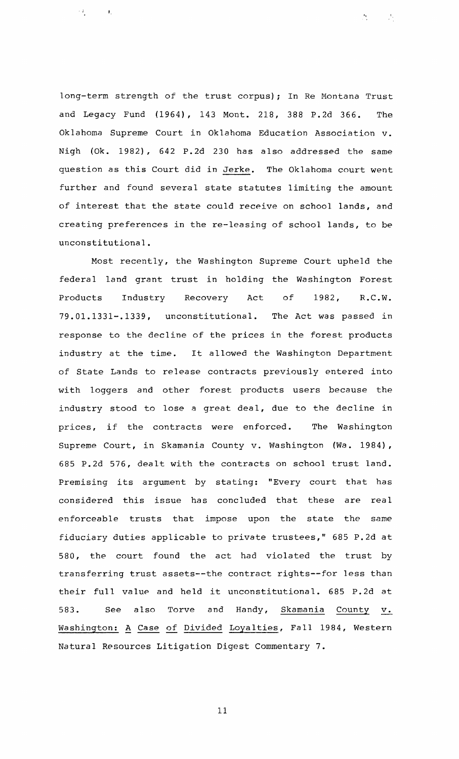long-term strength of the trust corpus) ; In Re Montana Trust and Legacy Fund (1964), 143 Mont. 218, 388 P.2d 366. The Oklahoma Supreme Court in Oklahoma Education Association v. Nigh (Ok. 1982), 642 P.2d 230 has also addressed the same question as this Court did in Jerke. The Oklahoma court went further and found several state statutes limiting the amount of interest that the state could receive on school lands, and creating preferences in the re-leasing of school lands, to be unconstitutional.

 $\mathcal{F}_{\mathcal{F}_{\mathcal{F}}}$ 

 $\sim 25$ 

 $\left\langle \frac{1}{2}\right\rangle$ 

 $\sim 4^{\circ}_{\circ}$ 

Most recently, the Washington Supreme Court upheld the federal land grant trust in holding the Washington Forest Products Industry Recovery Act of 1982, R.C.W. 79.01.1331-.1339, unconstitutional. The Act was passed in response to the decline of the prices in the forest products industry at the time. It allowed the Washington Department of State Lands to release contracts previously entered into with loggers and other forest products users because the industry stood to lose a great deal, due to the decline in prices, if the contracts were enforced. The Washington Supreme Court, in Skamania County v. Washington (Wa. 1984) , 685 P.2d 576, dealt with the contracts on school trust land. Premising its argument by stating: "Every court that has considered this issue has concluded that these are real enforceable trusts that impose upon the state the same fiduciary duties applicable to private trustees," 685 P.2d at 580, the court found the act had violated the trust by transferring trust assets--the contract rights--for less than their full value and held it unconstitutional. 685 P.2d at<br>583. See also Torve and Handy, <u>Skamania</u> County v. 583. See also Torve and Handy, <u>Skamania</u> County v.<br>Washington: A Case of Divided Loyalties, Fall 1984, Western Natural Resources Litigation Digest Commentary **7.**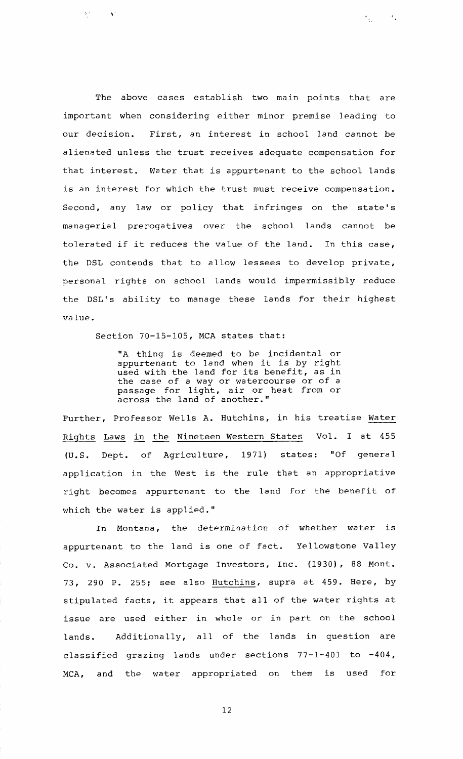The above cases establish two main points that are important when considering either minor premise leading to our decision. First, an interest in school land cannot be alienated unless the trust receives adequate compensation for that interest. Water that is appurtenant to the school lands is an interest for which the trust must receive compensation. Second, any law or policy that infringes on the state's managerial prerogatives over the school lands cannot be tolerated if it reduces the value of the land. In this case, the DSL contends that to allow lessees to develop private, personal rights on school lands would impermissibly reduce the DSL's ability to manage these lands for their highest value.

 $\sim 5\,\mathrm{g}$ 

 $\mathcal{F}_{\mathcal{G}_\mathcal{F}}$  .

Section 70-15-105, MCA states that:

 $\mathcal{L}$ 

 $\Sigma^+$ 

"A thing is deemed to be incidental or appurtenant to land when it is by right used with the land for its benefit, as in the case of a way or watercourse or of a passage for light, air or heat from or across the land of another."

Further, Professor Wells A. Hutchins, in his treatise Water Rights Laws in the Nineteen Western States Vol. I at 455<br>(U.S. Dept. of Agriculture, 1971) states: "Of general Dept. of Agriculture, 1971) states: "Of general application in the West is the rule that an appropriative right becomes appurtenant to the land for the benefit of which the water is applied."

In Montana, the determination of whether water is appurtenant to the land is one of fact. Yellowstone Valley Co. v. Associated Mortgage Investors, Inc. (1930), 88 Mont. 73, 290 P. 255; see also Hutchins, supra at 459. Here, by stipulated facts, it appears that all of the water rights at issue are used either in whole or in part on the school lands. Additionally, all of the lands in question are classified grazing lands under sections 77-1-401 to -404, MCA, and the water appropriated on them is used for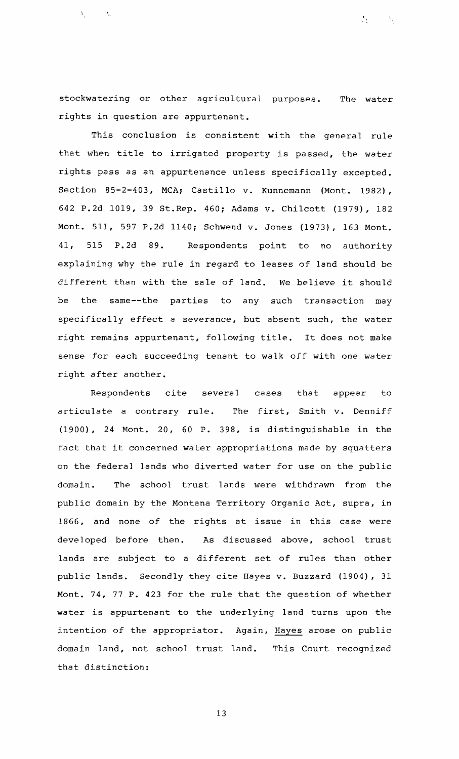stockwatering or other agricultural purposes. The water rights in question are appurtenant.

 $\mathcal{N}_{\mathcal{F}}$ 

 $\sim$   $\alpha_{\rm L}$ 

 $\mathbf{S}_{\mathrm{max}}$ 

This conclusion is consistent with the general rule that when title to irrigated property is passed, the water rights pass as an appurtenance unless specifically excepted. Section 85-2-403, MCA; Castillo v. Kunnemann (Mont. 1982), 642 P.2d 1019, 39 St.Rep. 460; Adams v. Chilcott (1979), 182 Mont. 511, 597 P.2d 1140; Schwend v. Jones (1973), 163 Mont. 41, 515 P.2d 89. Respondents point to no authority explaining why the rule in regard to leases of land should be different than with the sale of land. We believe it should be the same--the parties to any such transaction may specifically effect a severance, but absent such, the water right remains appurtenant, following title. It does not make sense for each succeeding tenant to walk off with one water right after another.

Respondents cite several cases that appear to articulate a contrary rule. The first, Smith v. Denniff (1900), 24 Mont. 20, 60 P. 398, is distinguishable in the fact that it concerned water appropriations made by squatters on the federal lands who diverted water for use on the public domain. The school trust lands were withdrawn from the public domain by the Montana Territory Organic Act, supra, in 1866, and none of the rights at issue in this case were developed before then. As discussed above, school trust lands are subject to a different set of rules than other public lands. Secondly they cite Hayes v. Buzzard (1904), 31 Mont. 74, 77 P. 423 for the rule that the question of whether water is appurtenant to the underlying land turns upon the intention of the appropriator. Again, Hayes arose on public domain land, not school trust land. This Court recognized that distinction: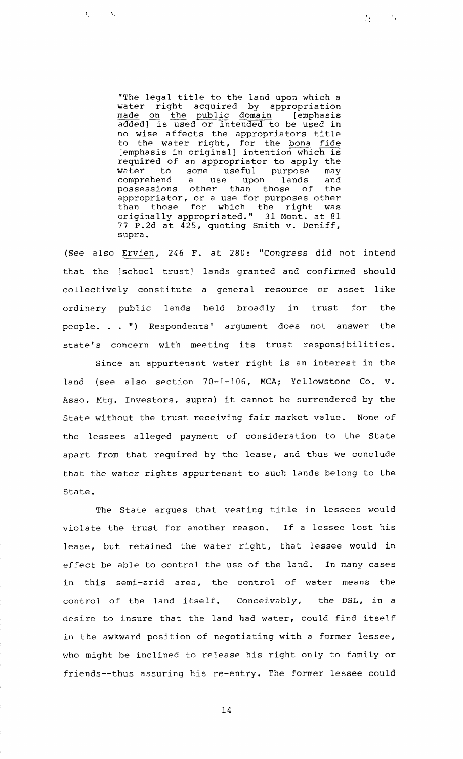"The legal title to the land upon which a water right acquired by appropriation "The legal title to the land upon which a<br>water right acquired by appropriation<br>made on the public domain [emphasis<br>added] is used or intended to be used in<br>no wise affects the appropriators title<br>to the water right, for t no wise affects the appropriators title to the water right, for the bona fide<br>[emphasis in original] intention which is required of an appropriator to apply the<br>water to some useful purpose may water to some useful purpose may comprehend a use upon lands and possessions other than those of the appropriator, or a use for purposes other than those for which the right was originally appropriated." **31** Mont. at 81 77 P.2d at 425, quoting Smith v. Deniff, supra.

 $\mathcal{O}_{\mathcal{L}^{(n)}}$ 

 $\sim 10$ 

(See also Ervien, 246 F. at 280: "Congress did not intend that the [school trust] lands granted and confirmed should collectively constitute a genera1 resource or asset like ordinary public lands held broadly in trust for the people. . . ") Respondents' argument does not answer the state's concern with meeting its trust responsibilities.

Since an appurtenant water right is an interest in the land (see also section 70-1-106, MCA; Yellowstone Co. v. Asso. Mtg. Investors, supra) it cannot be surrendered by the State without the trust receiving fair market value. None of the lessees alleged payment of consideration to the State apart from that required by the lease, and thus we conclude that the water rights appurtenant to such lands belong to the State.

The State argues that vesting title in lessees would violate the trust for another reason. If a lessee lost his lease, but retained the water right, that lessee would in effect be able to control the use of the land. In many cases in this semi-arid area, the control of water means the control of the land itself. Conceivably, the DSL, in a desire to insure that the land had water, could find itself in the awkward position of negotiating with a former lessee, who might be inclined to release his right only to family or friends--thus assuring his re-entry. The former lessee could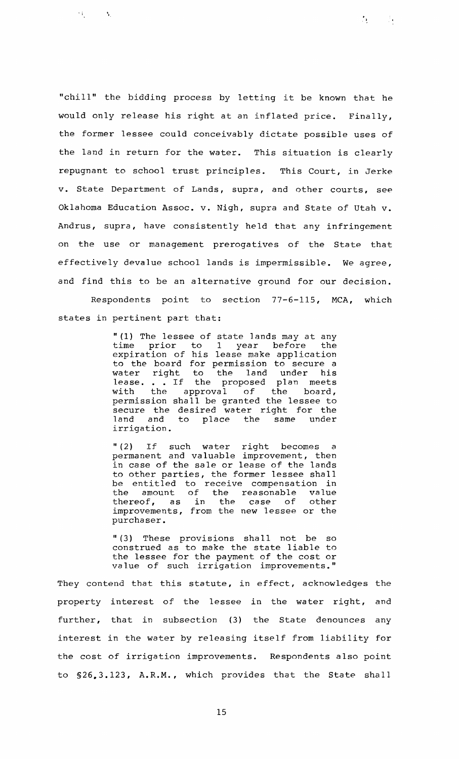"chill" the bidding process by letting it be known that he would only release his right at an inflated price. Finally, the former lessee could conceivably dictate possible uses of the land in return for the water. This situation is clearly repugnant to school trust principles. This Court, in Jerke v. State Department of Lands, supra, and other courts, see Oklahoma Education Assoc. v. Nigh, supra and State of Utah v. Andrus, supra, have consistently held that any infringement on the use or management prerogatives of the State that effectively devalue school lands is impermissible. We agree, and find this to be an alternative ground for our decision.

 $\mathcal{D}_{\mathcal{L}}$ 

 $\sim 10$ 

 $\Omega_1 \times \cdots \times \Omega_k$ 

Respondents point to section 77-6-115, MCA, which states in pertinent part that:

> " (1) The lessee of state lands may at any time prior to  $1$  year before the expiration of his lease make application to the board for permission to secure a water right to the land under his water right to the rond meets<br>lease...If the proposed plan meets<br>with the approval of the board, the approval of the board, permission shall be granted the lessee to secure the desired water right for the land and to place the same under irrigation.

> " (2) If such water right becomes a permanent and valuable improvement, then in case of the sale or lease of the lands to other parties, the former lessee shall be entitled to receive compensation in the amount of the reasonable value thereof, as in the case of other improvements, from the new lessee or the purchaser.

> " (3) These provisions shall not be so construed as to make the state liable to the lessee for the payment of the cost or value of such irrigation improvements."

They contend that this statute, in effect, acknowledges the property interest of the lessee in the water right, and further, that in subsection (3) the State denounces any interest in the water by releasing itself from liability for the cost of irrigation improvements. Respondents also point to 526.3.123, A.R.M., which provides that the State shall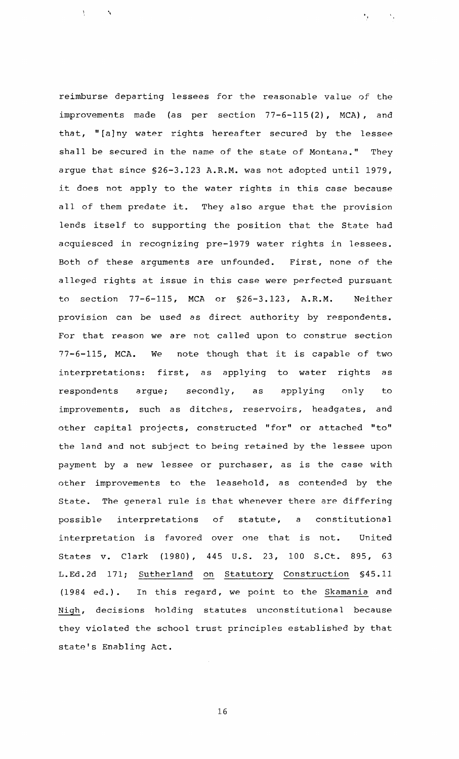reimburse departing lessees for the reasonable value of the improvements made (as per section 77-6-115(2), MCA), and that, "[alny water rights hereafter secured by the lessee shall be secured in the name of the state of Montana." They argue that since 526-3.123 A.R.M. was not adopted until 1979, it does not apply to the water rights in this case because all of them predate it. They also argue that the provision lends itself to supporting the position that the State had acquiesced in recognizing pre-1979 water rights in lessees. Both of these arguments are unfounded. First, none of the alleged rights at issue in this case were perfected pursuant to section 77-6-115, MCA or 526-3.123, A.R.M. Neither provision can be used as direct authority by respondents. For that reason we are not called upon to construe section 77-6-115, MCA. We note though that it is capable of two interpretations: first, as applying to water rights as respondents argue; secondly, as applying only to improvements, such as ditches, reservoirs, headgates, and other capital projects, constructed "for" or attached "to" the land and not subject to being retained by the lessee upon payment by a new lessee or purchaser, as is the case with other improvements to the leasehold, as contended by the State. The general rule is that whenever there are differing possible interpretations of statute, a constitutional interpretation is favored over one that is not. United States v. Clark (1980), 445 **U.S.** 23, 100 S.Ct. 895, 63 L.Ed.2d 171; Sutherland on Statutory Construction §45.11 (1984 ed.). In this regard, we point to the Skamania and Nigh, decisions holding statutes unconstitutional because they violated the school trust principles established by that state's Enabling Act.

 $\mathbf{r}_{\perp}$ 

 $\mathcal{K}_1$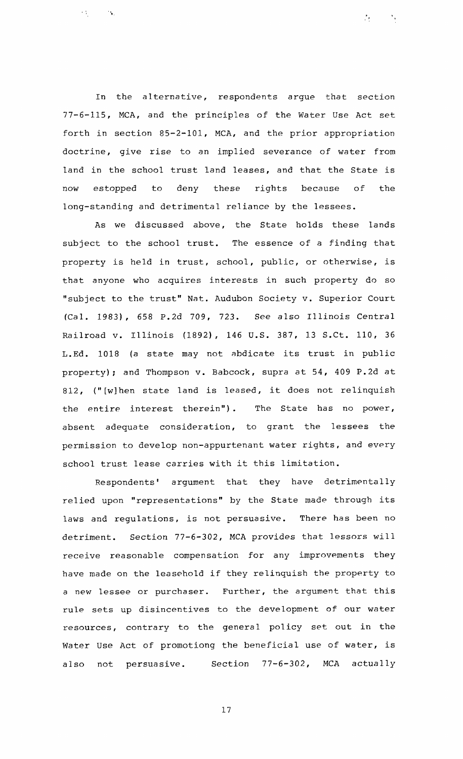In the alternative, respondents argue that section 77-6-115, MCA, and the principles of the Water Use Act set forth in section 85-2-101, MCA, and the prior appropriation doctrine, give rise to an implied severance of water from land in the school trust land leases, and that the State is now estopped to deny these rights because of the long-standing and detrimental reliance by the lessees.

 $\mathcal{E}_{\mathcal{F}_{\mathcal{F}}}$ 

 $\epsilon_{\rm{M}}$  .

As we discussed above, the State holds these lands subject to the school trust. The essence of a finding that property is held in trust, school, public, or otherwise, is that anyone who acquires interests in such property do so "subject to the trust" Nat. Audubon Society v. Superior Court (Cal. 1983), 658 P.2d 709, 723. See also Illinois Central Railroad v. Illinois (1892), 146 U.S. 387, 13 S.Ct. 110, 36 L.Ed. 1018 (a state may not abdicate its trust in public property); and Thompson v. Babcock, supra at 54, 409 P.2d at 812, ("[wlhen state land is leased, it does not relinquish the entire interest therein"). The State has no power, absent adequate consideration, to grant the lessees the permission to develop non-appurtenant water rights, and every school trust lease carries with it this limitation.

Respondents' argument that they have detrimentally relied upon "representations" by the State made through its laws and regulations, is not persuasive. There has been no detriment. Section 77-6-302, MCA provides that lessors will receive reasonable compensation for any improvements they have made on the leasehold if they relinquish the property to a new lessee or purchaser. Further, the argument that this rule sets up disincentives to the development of our water resources, contrary to the genera1 policy set out in the Water Use Act of promotiong the beneficial use of water, is also not persuasive. Section 77-6-302, MCA actually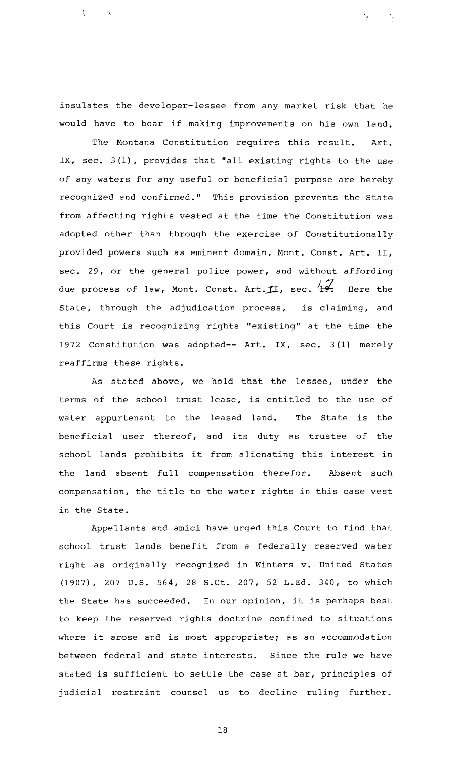insulates the developer-lessee from any market risk that he would have to bear if making improvements on his own land.

 $\mathbf{I}^{\top}$ 

 $\epsilon_{\rm{eff}}$ 

The Montana Constitution requires this result. Art. IX, sec. **3** (1) , provides that "all existing rights to the use of any waters **for** any useful or beneficial purpose are hereby recognized and confirmed." This provision prevents the State from affecting rights vested at the time the Constitution was adopted other than through the exercise of Constitutionally provided powers such as eminent domain, Mont. Const. Art. **11,**  sec. 29, or the general police power, and without affording due process of law, Mont. Const. Art.  $\mathcal{I}I$ , sec.  $4\overline{\mathcal{I}}$ . Here the State, through the adjudication process, is claiming, and this Court is recognizing rights "existing" at the time the 1972 Constitution was adopted-- Art. IX, sec. 3(l) merely reaffirms these rights.

As stated above, we hold that the lessee, under the terms of the school trust lease, is entitled to the use of water appurtenant to the leased land. The State is the beneficial user thereof, and its duty as trustee of the school lands prohibits it from alienating this interest in the land absent full compensation therefor. Absent such compensation, the title to the water rights in this case vest in the State.

Appellants and amici have urged this Court to find that school trust lands benefit from a federally reserved water right as originally recognized in Winters v. United States (1907), 207 U.S. 564, 28 S.Ct. 207, 52 L.Ed. 340, to which the State has succeeded. In our opinion, it is perhaps best to keep the reserved rights doctrine confined to situations where it arose and is most appropriate; as an accommodation between federal and state interests. Since the rule we have stated is sufficient to settle the case at bar, principles of judicial restraint counsel us to decline ruling further.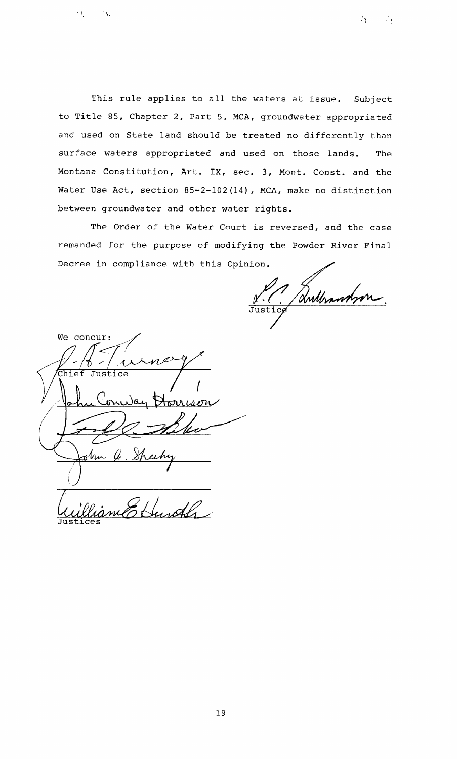This rule applies to all the waters at issue. Subject to Title 85, Chapter 2, Part 5, MCA, groundwater appropriated and used on State land should be treated no differently than surface waters appropriated and used on those lands. The Montana Constitution, Art. IX, sec. **3,** Mont. Const. and the Water Use Act, section 85-2-102(14), MCA, make no distinction between groundwater and other water rights.

The Order of the Water Court is reversed, and the case remanded for the purpose of modifying the Powder River Final Decree in compliance with this Opinion.

V.C. Anthrandson

香兰 声

We concur:  $\overline{\texttt{Chief}}$ Justice ىھ( Anra isem **1 Justices** 

 $\mathbf{r}$  ,  $\mathbf{r}$ 

 $\sim 10$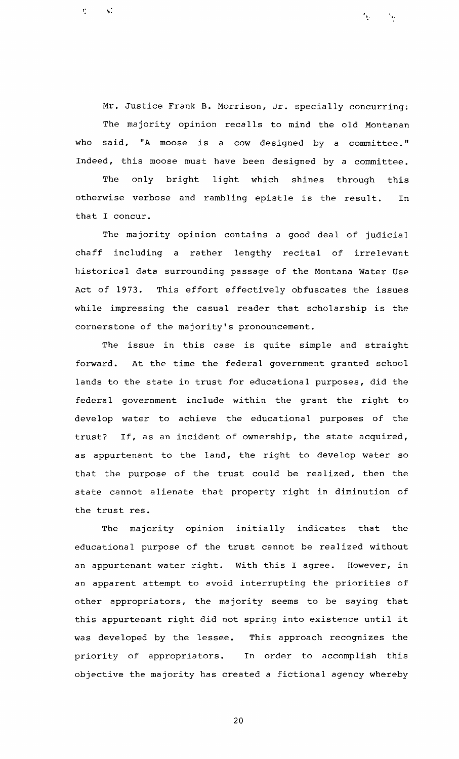Mr. Justice Frank B. Morrison, Jr. specially concurring: The majority opinion recalls to mind the old Montanan who said, "A moose is a cow designed by a committee." Indeed, this moose must have been designed by a committee.

 $\ddot{\phantom{a}}$ 

 $\mathbf{r}^{\star}$ 

The only bright light which shines through this otherwise verbose and rambling epistle is the result. In that I concur.

The majority opinion contains a good deal of judicial chaff including a rather lengthy recital of irrelevant historical data surrounding passage of the Montana Water Use Act of 1973. This effort effectively obfuscates the issues while impressing the casual reader that scholarship is the cornerstone of the majority's pronouncement.

The issue in this case is quite simple and straight forward. At the time the federal government granted school lands to the state in trust for educational purposes, did the federal government include within the grant the right to develop water to achieve the educational purposes of the trust? If, as an incident of ownership, the state acquired, as appurtenant to the land, the right to develop water so that the purpose of the trust could be realized, then the state cannot alienate that property right in diminution of the trust res.

The majority opinion initially indicates that the educational purpose of the trust cannot be realized without an appurtenant water right. With this I agree. However, in an apparent attempt to avoid interrupting the priorities of other appropriators, the majority seems to be saying that this appurtenant right did not spring into existence until it was developed by the lessee. This approach recognizes the priority of appropriators. In order to accomplish this objective the majority has created a fictional agency whereby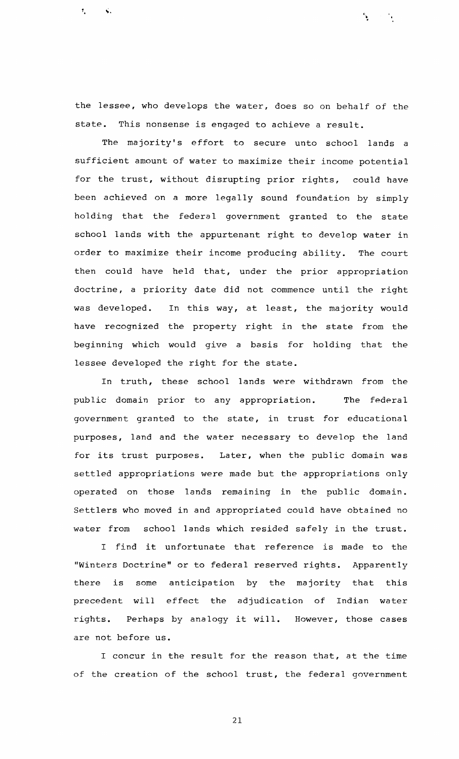the lessee, who develops the water, does so on behalf of the state. This nonsense is engaged to achieve a result.

 $\mathbf{f}^{\dagger}$ 

The majority's effort to secure unto school lands a sufficient amount of water to maximize their income potential for the trust, without disrupting prior rights, could have been achieved on a more legally sound foundation by simply holding that the federal government granted to the state school lands with the appurtenant right to develop water in order to maximize their income producing ability. The court then could have held that, under the prior appropriation doctrine, a priority date did not commence until the right was developed. In this way, at least, the majority would have recognized the property right in the state from the beginning which would give a basis for holding that the lessee developed the right for the state.

In truth, these school lands were withdrawn from the public domain prior to any appropriation. The federal government granted to the state, in trust for educational purposes, land and the water necessary to develop the land for its trust purposes. Later, when the public domain was settled appropriations were made but the appropriations only operated on those lands remaining in the public domain. Settlers who moved in and appropriated could have obtained no water from school lands which resided safely in the trust.

I find it unfortunate that reference is made to the "Winters Doctrine" or to federal reserved rights. Apparently there is some anticipation by the majority that this precedent will effect the adjudication of Indian water rights. Perhaps by analogy it will. However, those cases are not before us.

I concur in the result for the reason that, at the time of the creation of the school trust, the federal government